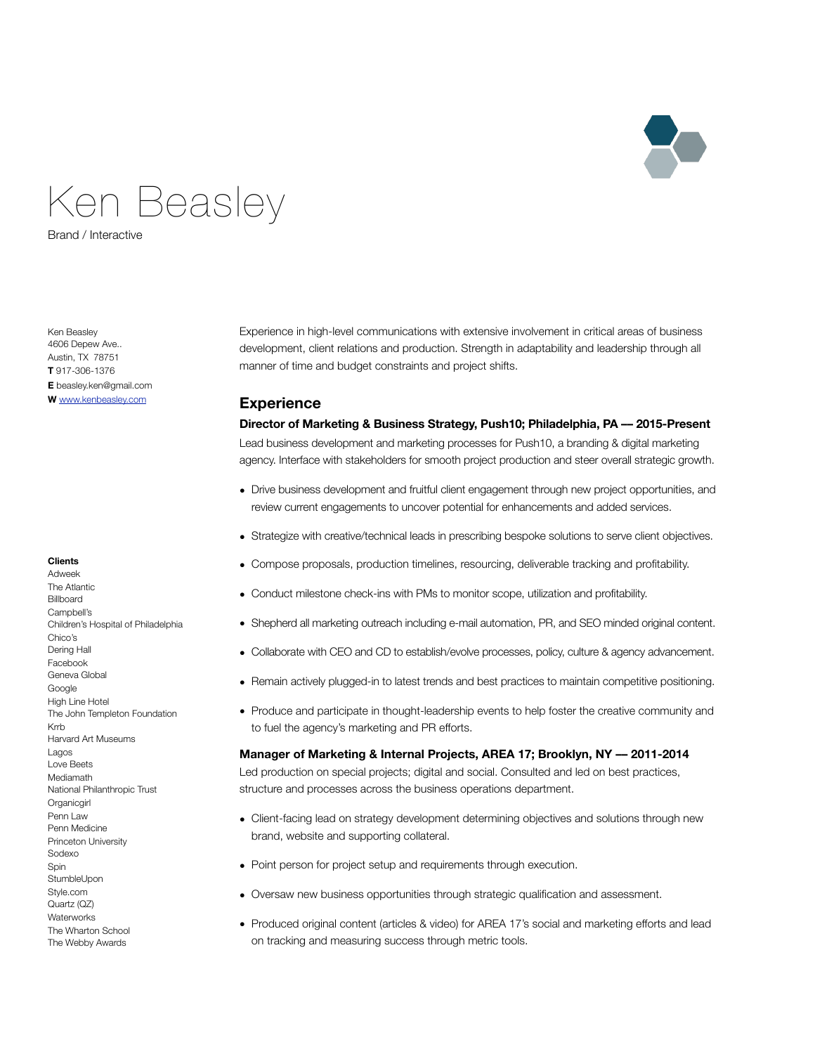

# Ken Beasley

Brand / Interactive

Ken Beasley 4606 Depew Ave.. Austin, TX 78751 **T** 917-306-1376 **E** beasley.ken@gmail.com **W** [www.kenbeasley.com](http://www.kenbeasley.com)

#### **Clients**

Adweek The Atlantic **Billboard** Campbell's Children's Hospital of Philadelphia Chico's Dering Hall Facebook Geneva Global Google High Line Hotel The John Templeton Foundation Krrb Harvard Art Museums Lagos Love Beets Mediamath National Philanthropic Trust **Organicgirl** Penn Law Penn Medicine Princeton University Sodexo **Spin** StumbleUpon Style.com Quartz (QZ) **Waterworks** The Wharton School The Webby Awards

Experience in high-level communications with extensive involvement in critical areas of business development, client relations and production. Strength in adaptability and leadership through all manner of time and budget constraints and project shifts.

## **Experience**

#### **Director of Marketing & Business Strategy, Push10; Philadelphia, PA –– 2015-Present**

Lead business development and marketing processes for Push10, a branding & digital marketing agency. Interface with stakeholders for smooth project production and steer overall strategic growth.

- Drive business development and fruitful client engagement through new project opportunities, and review current engagements to uncover potential for enhancements and added services.
- Strategize with creative/technical leads in prescribing bespoke solutions to serve client objectives.
- Compose proposals, production timelines, resourcing, deliverable tracking and profitability.
- Conduct milestone check-ins with PMs to monitor scope, utilization and profitability.
- Shepherd all marketing outreach including e-mail automation, PR, and SEO minded original content.
- Collaborate with CEO and CD to establish/evolve processes, policy, culture & agency advancement.
- Remain actively plugged-in to latest trends and best practices to maintain competitive positioning.
- Produce and participate in thought-leadership events to help foster the creative community and to fuel the agency's marketing and PR efforts.

#### **Manager of Marketing & Internal Projects, AREA 17; Brooklyn, NY –– 2011-2014**

Led production on special projects; digital and social. Consulted and led on best practices, structure and processes across the business operations department.

- Client-facing lead on strategy development determining objectives and solutions through new brand, website and supporting collateral.
- Point person for project setup and requirements through execution.
- Oversaw new business opportunities through strategic qualification and assessment.
- Produced original content (articles & video) for AREA 17's social and marketing efforts and lead on tracking and measuring success through metric tools.